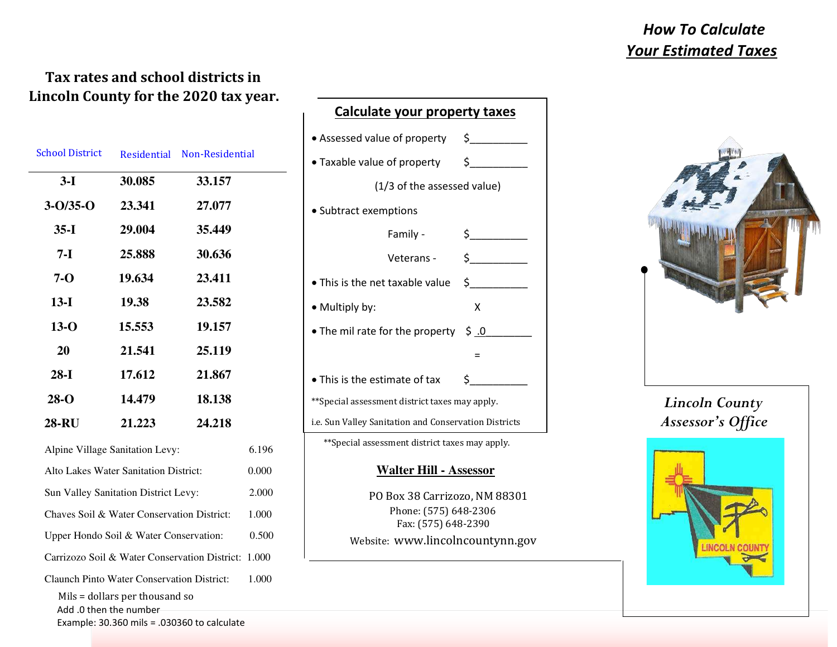## *How To Calculate*  *Your Estimated Taxes*

### **Tax rates and school districts in Lincoln County for the 2020 tax year.**

| <b>School District</b>                                   | Residential Non-Residential |        |       |  |
|----------------------------------------------------------|-----------------------------|--------|-------|--|
| $3-I$                                                    | 30.085                      | 33.157 |       |  |
| $3 - 0/35 - 0$                                           | 23.341                      | 27.077 |       |  |
| $35-I$                                                   | 29.004                      | 35.449 |       |  |
| $7-I$                                                    | 25.888                      | 30.636 |       |  |
| $7-0$                                                    | 19.634                      | 23.411 |       |  |
| $13-I$                                                   | 19.38                       | 23.582 |       |  |
| $13-o$                                                   | 15.553                      | 19.157 |       |  |
| 20                                                       | 21.541                      | 25.119 |       |  |
| $28-I$                                                   | 17.612                      | 21.867 |       |  |
| $28-o$                                                   | 14.479                      | 18.138 |       |  |
| <b>28-RU</b>                                             | 21.223                      | 24.218 |       |  |
| Alpine Village Sanitation Levy:                          |                             | 6.196  |       |  |
| Alto Lakes Water Sanitation District:                    |                             | 0.000  |       |  |
| Sun Valley Sanitation District Levy:                     |                             | 2.000  |       |  |
| Chaves Soil & Water Conservation District:               |                             | 1.000  |       |  |
| Upper Hondo Soil & Water Conservation:                   |                             |        | 0.500 |  |
| Carrizozo Soil & Water Conservation District:            |                             |        | 1.000 |  |
| <b>Claunch Pinto Water Conservation District:</b>        |                             |        | 1.000 |  |
| Mils = dollars per thousand so<br>Add .0 then the number |                             |        |       |  |
| Example: $30.360$ mils = .030360 to calculate            |                             |        |       |  |

| Calculate your property taxes                                   |                                                                                                                                                                                                                                                                                                                                                     |  |  |  |
|-----------------------------------------------------------------|-----------------------------------------------------------------------------------------------------------------------------------------------------------------------------------------------------------------------------------------------------------------------------------------------------------------------------------------------------|--|--|--|
| • Assessed value of property $\begin{array}{c} \xi \end{array}$ |                                                                                                                                                                                                                                                                                                                                                     |  |  |  |
| • Taxable value of property \$__________                        |                                                                                                                                                                                                                                                                                                                                                     |  |  |  |
| (1/3 of the assessed value)                                     |                                                                                                                                                                                                                                                                                                                                                     |  |  |  |
| • Subtract exemptions                                           |                                                                                                                                                                                                                                                                                                                                                     |  |  |  |
| Family -                                                        |                                                                                                                                                                                                                                                                                                                                                     |  |  |  |
| Veterans -                                                      | $\begin{picture}(20,20) \put(0,0){\line(1,0){10}} \put(15,0){\line(1,0){10}} \put(15,0){\line(1,0){10}} \put(15,0){\line(1,0){10}} \put(15,0){\line(1,0){10}} \put(15,0){\line(1,0){10}} \put(15,0){\line(1,0){10}} \put(15,0){\line(1,0){10}} \put(15,0){\line(1,0){10}} \put(15,0){\line(1,0){10}} \put(15,0){\line(1,0){10}} \put(15,0){\line(1$ |  |  |  |
| • This is the net taxable value                                 | $\frac{1}{2}$                                                                                                                                                                                                                                                                                                                                       |  |  |  |
| • Multiply by:                                                  | Χ                                                                                                                                                                                                                                                                                                                                                   |  |  |  |
| • The mil rate for the property                                 | $\ddot{\mathsf{S}}$ .0                                                                                                                                                                                                                                                                                                                              |  |  |  |
|                                                                 | $=$                                                                                                                                                                                                                                                                                                                                                 |  |  |  |
| • This is the estimate of tax                                   | Ś.                                                                                                                                                                                                                                                                                                                                                  |  |  |  |
| **Special assessment district taxes may apply.                  |                                                                                                                                                                                                                                                                                                                                                     |  |  |  |
| i.e. Sun Valley Sanitation and Conservation Districts           |                                                                                                                                                                                                                                                                                                                                                     |  |  |  |
| ** Special assessment district taxes may apply.                 |                                                                                                                                                                                                                                                                                                                                                     |  |  |  |
| <b>Walter Hill - Assessor</b>                                   |                                                                                                                                                                                                                                                                                                                                                     |  |  |  |
| PO Box 38 Carrizozo, NM 88301                                   |                                                                                                                                                                                                                                                                                                                                                     |  |  |  |
| Phone: (575) 648-2306                                           |                                                                                                                                                                                                                                                                                                                                                     |  |  |  |
| Fax: (575) 648-2390                                             |                                                                                                                                                                                                                                                                                                                                                     |  |  |  |
| Website: www.lincolncountynn.gov                                |                                                                                                                                                                                                                                                                                                                                                     |  |  |  |



## *Lincoln County Assessor's Office*